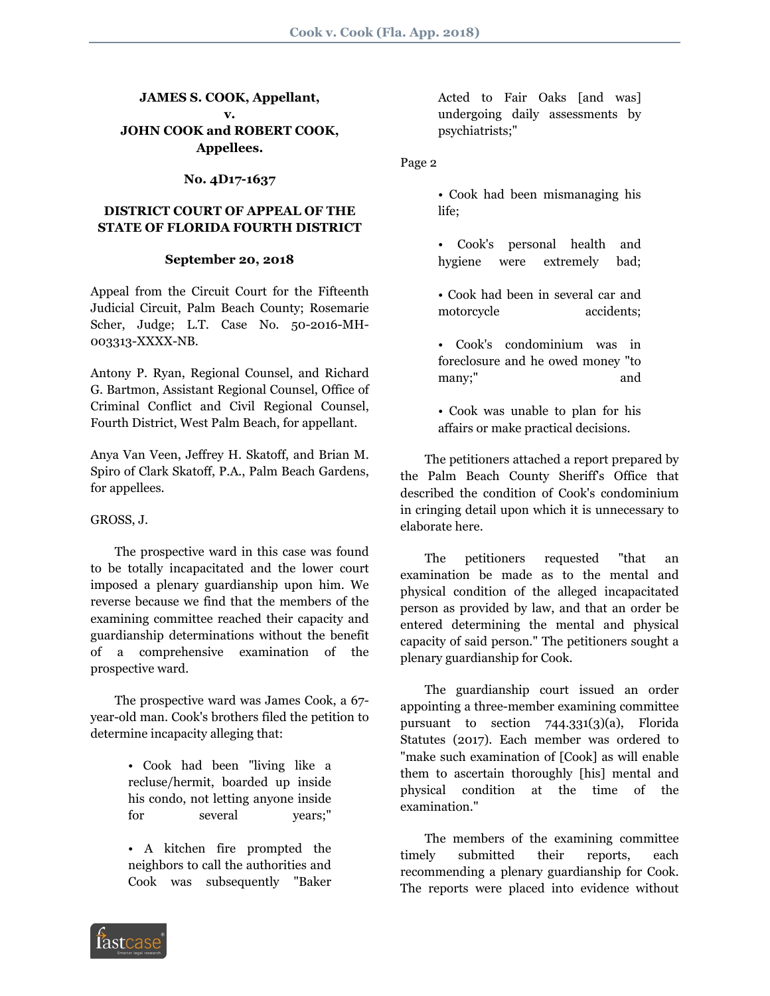## **JAMES S. COOK, Appellant, v. JOHN COOK and ROBERT COOK, Appellees.**

### **No. 4D17-1637**

## **DISTRICT COURT OF APPEAL OF THE STATE OF FLORIDA FOURTH DISTRICT**

### **September 20, 2018**

Appeal from the Circuit Court for the Fifteenth Judicial Circuit, Palm Beach County; Rosemarie Scher, Judge; L.T. Case No. 50-2016-MH-003313-XXXX-NB.

Antony P. Ryan, Regional Counsel, and Richard G. Bartmon, Assistant Regional Counsel, Office of Criminal Conflict and Civil Regional Counsel, Fourth District, West Palm Beach, for appellant.

Anya Van Veen, Jeffrey H. Skatoff, and Brian M. Spiro of Clark Skatoff, P.A., Palm Beach Gardens, for appellees.

### GROSS, J.

 The prospective ward in this case was found to be totally incapacitated and the lower court imposed a plenary guardianship upon him. We reverse because we find that the members of the examining committee reached their capacity and guardianship determinations without the benefit of a comprehensive examination of the prospective ward.

 The prospective ward was James Cook, a 67 year-old man. Cook's brothers filed the petition to determine incapacity alleging that:

- Cook had been "living like a recluse/hermit, boarded up inside his condo, not letting anyone inside for several years;"
- A kitchen fire prompted the neighbors to call the authorities and Cook was subsequently "Baker

Acted to Fair Oaks [and was] undergoing daily assessments by psychiatrists;"

Page 2

• Cook had been mismanaging his life;

• Cook's personal health and hygiene were extremely bad;

• Cook had been in several car and motorcycle accidents;

• Cook's condominium was in foreclosure and he owed money "to many;" and

• Cook was unable to plan for his affairs or make practical decisions.

 The petitioners attached a report prepared by the Palm Beach County Sheriff's Office that described the condition of Cook's condominium in cringing detail upon which it is unnecessary to elaborate here.

 The petitioners requested "that an examination be made as to the mental and physical condition of the alleged incapacitated person as provided by law, and that an order be entered determining the mental and physical capacity of said person." The petitioners sought a plenary guardianship for Cook.

 The guardianship court issued an order appointing a three-member examining committee pursuant to section 744.331(3)(a), Florida Statutes (2017). Each member was ordered to "make such examination of [Cook] as will enable them to ascertain thoroughly [his] mental and physical condition at the time of the examination."

 The members of the examining committee timely submitted their reports, each recommending a plenary guardianship for Cook. The reports were placed into evidence without

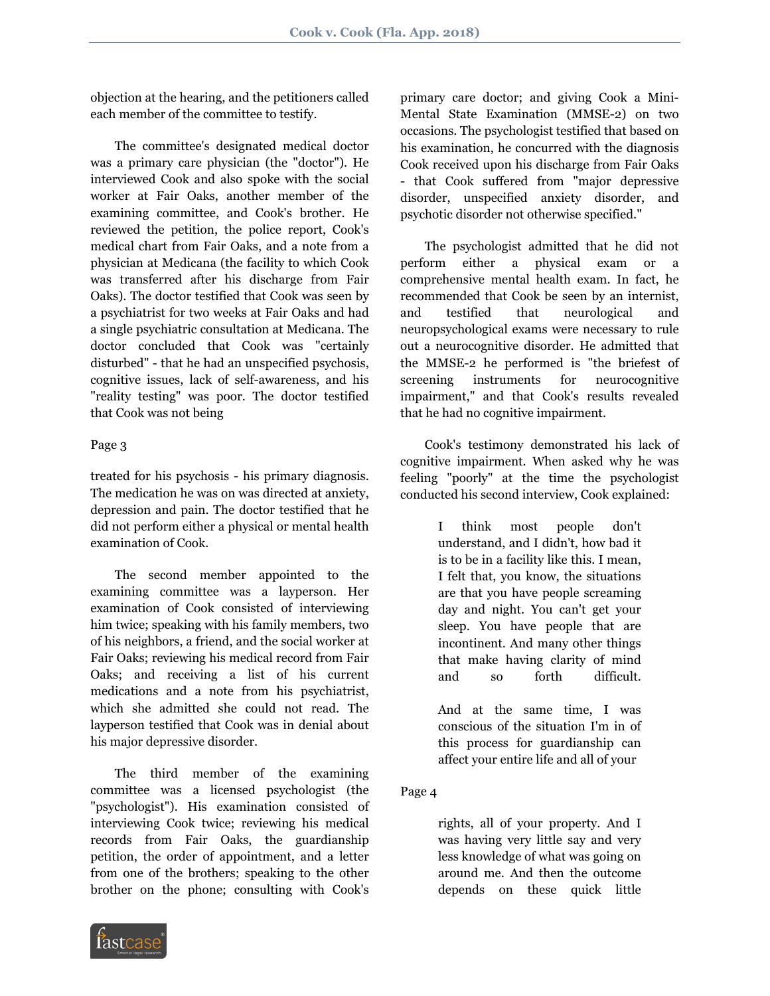objection at the hearing, and the petitioners called each member of the committee to testify.

 The committee's designated medical doctor was a primary care physician (the "doctor"). He interviewed Cook and also spoke with the social worker at Fair Oaks, another member of the examining committee, and Cook's brother. He reviewed the petition, the police report, Cook's medical chart from Fair Oaks, and a note from a physician at Medicana (the facility to which Cook was transferred after his discharge from Fair Oaks). The doctor testified that Cook was seen by a psychiatrist for two weeks at Fair Oaks and had a single psychiatric consultation at Medicana. The doctor concluded that Cook was "certainly disturbed" - that he had an unspecified psychosis, cognitive issues, lack of self-awareness, and his "reality testing" was poor. The doctor testified that Cook was not being

# Page 3

treated for his psychosis - his primary diagnosis. The medication he was on was directed at anxiety, depression and pain. The doctor testified that he did not perform either a physical or mental health examination of Cook.

 The second member appointed to the examining committee was a layperson. Her examination of Cook consisted of interviewing him twice; speaking with his family members, two of his neighbors, a friend, and the social worker at Fair Oaks; reviewing his medical record from Fair Oaks; and receiving a list of his current medications and a note from his psychiatrist, which she admitted she could not read. The layperson testified that Cook was in denial about his major depressive disorder.

 The third member of the examining committee was a licensed psychologist (the "psychologist"). His examination consisted of interviewing Cook twice; reviewing his medical records from Fair Oaks, the guardianship petition, the order of appointment, and a letter from one of the brothers; speaking to the other brother on the phone; consulting with Cook's



primary care doctor; and giving Cook a Mini-Mental State Examination (MMSE-2) on two occasions. The psychologist testified that based on his examination, he concurred with the diagnosis Cook received upon his discharge from Fair Oaks - that Cook suffered from "major depressive disorder, unspecified anxiety disorder, and psychotic disorder not otherwise specified."

 The psychologist admitted that he did not perform either a physical exam or a comprehensive mental health exam. In fact, he recommended that Cook be seen by an internist, and testified that neurological and neuropsychological exams were necessary to rule out a neurocognitive disorder. He admitted that the MMSE-2 he performed is "the briefest of screening instruments for neurocognitive impairment," and that Cook's results revealed that he had no cognitive impairment.

 Cook's testimony demonstrated his lack of cognitive impairment. When asked why he was feeling "poorly" at the time the psychologist conducted his second interview, Cook explained:

> I think most people don't understand, and I didn't, how bad it is to be in a facility like this. I mean, I felt that, you know, the situations are that you have people screaming day and night. You can't get your sleep. You have people that are incontinent. And many other things that make having clarity of mind and so forth difficult.

And at the same time, I was conscious of the situation I'm in of this process for guardianship can affect your entire life and all of your

# Page 4

rights, all of your property. And I was having very little say and very less knowledge of what was going on around me. And then the outcome depends on these quick little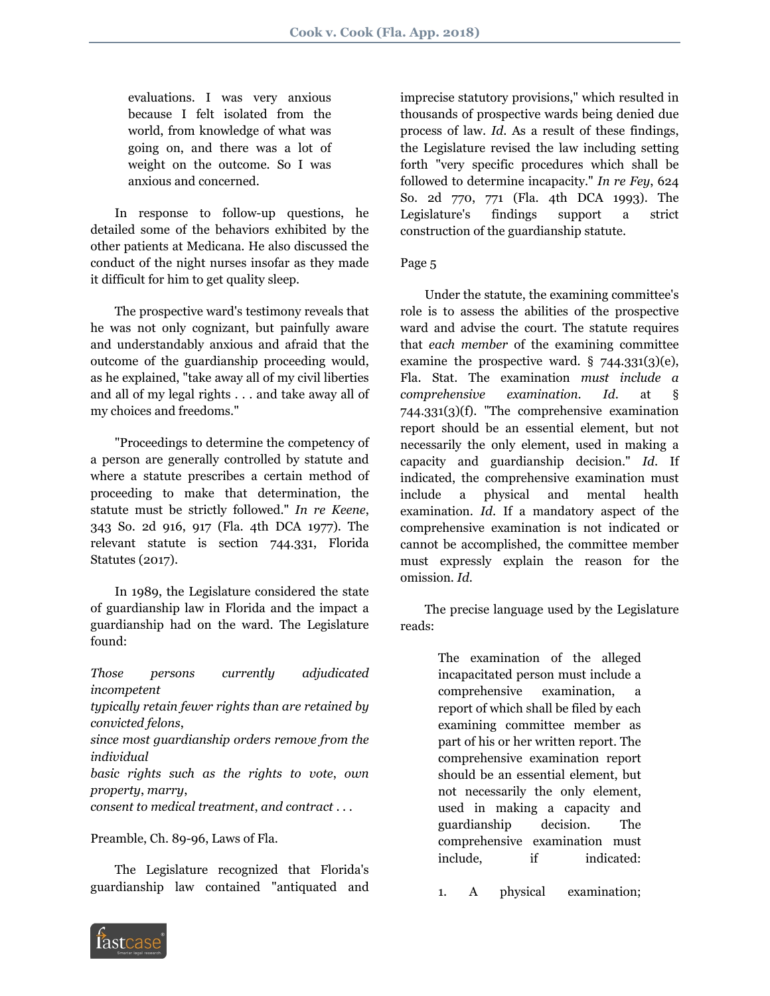evaluations. I was very anxious because I felt isolated from the world, from knowledge of what was going on, and there was a lot of weight on the outcome. So I was anxious and concerned.

 In response to follow-up questions, he detailed some of the behaviors exhibited by the other patients at Medicana. He also discussed the conduct of the night nurses insofar as they made it difficult for him to get quality sleep.

 The prospective ward's testimony reveals that he was not only cognizant, but painfully aware and understandably anxious and afraid that the outcome of the guardianship proceeding would, as he explained, "take away all of my civil liberties and all of my legal rights . . . and take away all of my choices and freedoms."

 "Proceedings to determine the competency of a person are generally controlled by statute and where a statute prescribes a certain method of proceeding to make that determination, the statute must be strictly followed." *In re Keene*, 343 So. 2d 916, 917 (Fla. 4th DCA 1977). The relevant statute is section 744.331, Florida Statutes (2017).

 In 1989, the Legislature considered the state of guardianship law in Florida and the impact a guardianship had on the ward. The Legislature found:

*Those persons currently adjudicated incompetent typically retain fewer rights than are retained by convicted felons*, *since most guardianship orders remove from the individual basic rights such as the rights to vote*, *own property*, *marry*,

*consent to medical treatment*, *and contract* . . .

Preamble, Ch. 89-96, Laws of Fla.

 The Legislature recognized that Florida's guardianship law contained "antiquated and imprecise statutory provisions," which resulted in thousands of prospective wards being denied due process of law. *Id*. As a result of these findings, the Legislature revised the law including setting forth "very specific procedures which shall be followed to determine incapacity." *In re Fey*, 624 So. 2d 770, 771 (Fla. 4th DCA 1993). The Legislature's findings support a strict construction of the guardianship statute.

#### Page 5

 Under the statute, the examining committee's role is to assess the abilities of the prospective ward and advise the court. The statute requires that *each member* of the examining committee examine the prospective ward.  $\S$  744.331(3)(e), Fla. Stat. The examination *must include a comprehensive examination*. *Id*. at § 744.331(3)(f). "The comprehensive examination report should be an essential element, but not necessarily the only element, used in making a capacity and guardianship decision." *Id*. If indicated, the comprehensive examination must include a physical and mental health examination. *Id*. If a mandatory aspect of the comprehensive examination is not indicated or cannot be accomplished, the committee member must expressly explain the reason for the omission. *Id*.

 The precise language used by the Legislature reads:

> The examination of the alleged incapacitated person must include a comprehensive examination, a report of which shall be filed by each examining committee member as part of his or her written report. The comprehensive examination report should be an essential element, but not necessarily the only element, used in making a capacity and guardianship decision. The comprehensive examination must include, if indicated:

1. A physical examination;

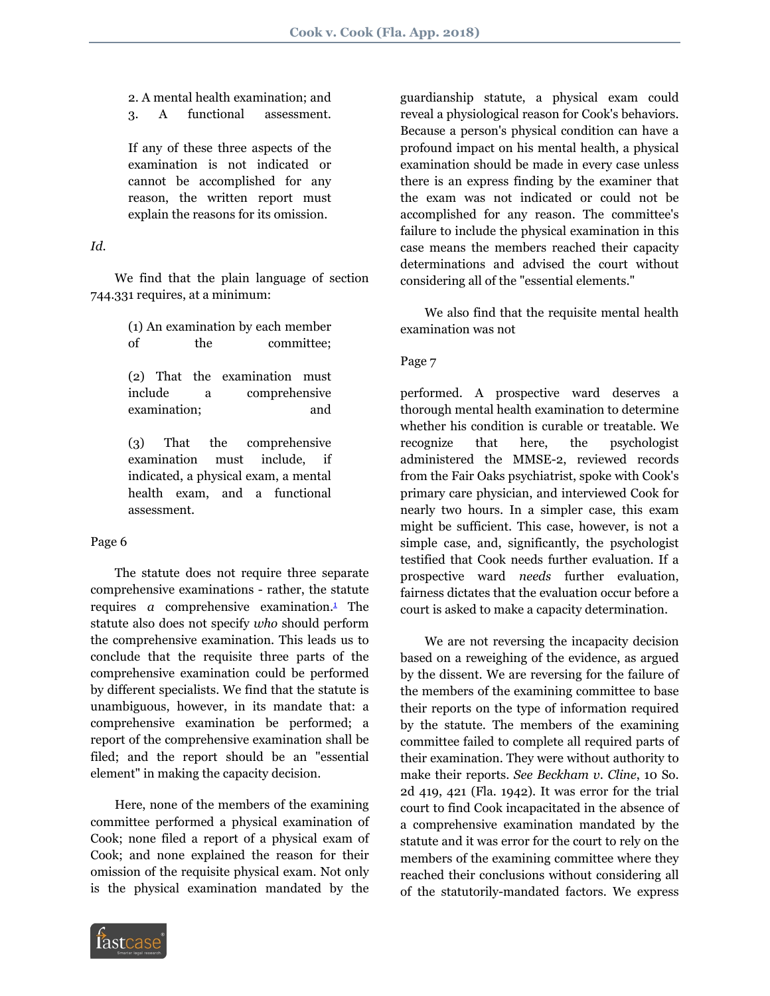2. A mental health examination; and 3. A functional assessment.

If any of these three aspects of the examination is not indicated or cannot be accomplished for any reason, the written report must explain the reasons for its omission.

### *Id*.

 We find that the plain language of section 744.331 requires, at a minimum:

> (1) An examination by each member of the committee;

> (2) That the examination must include a comprehensive examination; and

> (3) That the comprehensive examination must include, if indicated, a physical exam, a mental health exam, and a functional assessment.

# Page 6

 The statute does not require three separate comprehensive examinations - rather, the statute requires  $a$  comprehensive examination. $\frac{1}{a}$  $\frac{1}{a}$  $\frac{1}{a}$  The statute also does not specify *who* should perform the comprehensive examination. This leads us to conclude that the requisite three parts of the comprehensive examination could be performed by different specialists. We find that the statute is unambiguous, however, in its mandate that: a comprehensive examination be performed; a report of the comprehensive examination shall be filed; and the report should be an "essential element" in making the capacity decision.

 Here, none of the members of the examining committee performed a physical examination of Cook; none filed a report of a physical exam of Cook; and none explained the reason for their omission of the requisite physical exam. Not only is the physical examination mandated by the

guardianship statute, a physical exam could reveal a physiological reason for Cook's behaviors. Because a person's physical condition can have a profound impact on his mental health, a physical examination should be made in every case unless there is an express finding by the examiner that the exam was not indicated or could not be accomplished for any reason. The committee's failure to include the physical examination in this case means the members reached their capacity determinations and advised the court without considering all of the "essential elements."

 We also find that the requisite mental health examination was not

### Page 7

performed. A prospective ward deserves a thorough mental health examination to determine whether his condition is curable or treatable. We recognize that here, the psychologist administered the MMSE-2, reviewed records from the Fair Oaks psychiatrist, spoke with Cook's primary care physician, and interviewed Cook for nearly two hours. In a simpler case, this exam might be sufficient. This case, however, is not a simple case, and, significantly, the psychologist testified that Cook needs further evaluation. If a prospective ward *needs* further evaluation, fairness dictates that the evaluation occur before a court is asked to make a capacity determination.

<span id="page-3-0"></span> We are not reversing the incapacity decision based on a reweighing of the evidence, as argued by the dissent. We are reversing for the failure of the members of the examining committee to base their reports on the type of information required by the statute. The members of the examining committee failed to complete all required parts of their examination. They were without authority to make their reports. *See Beckham v*. *Cline*, 10 So. 2d 419, 421 (Fla. 1942). It was error for the trial court to find Cook incapacitated in the absence of a comprehensive examination mandated by the statute and it was error for the court to rely on the members of the examining committee where they reached their conclusions without considering all of the statutorily-mandated factors. We express

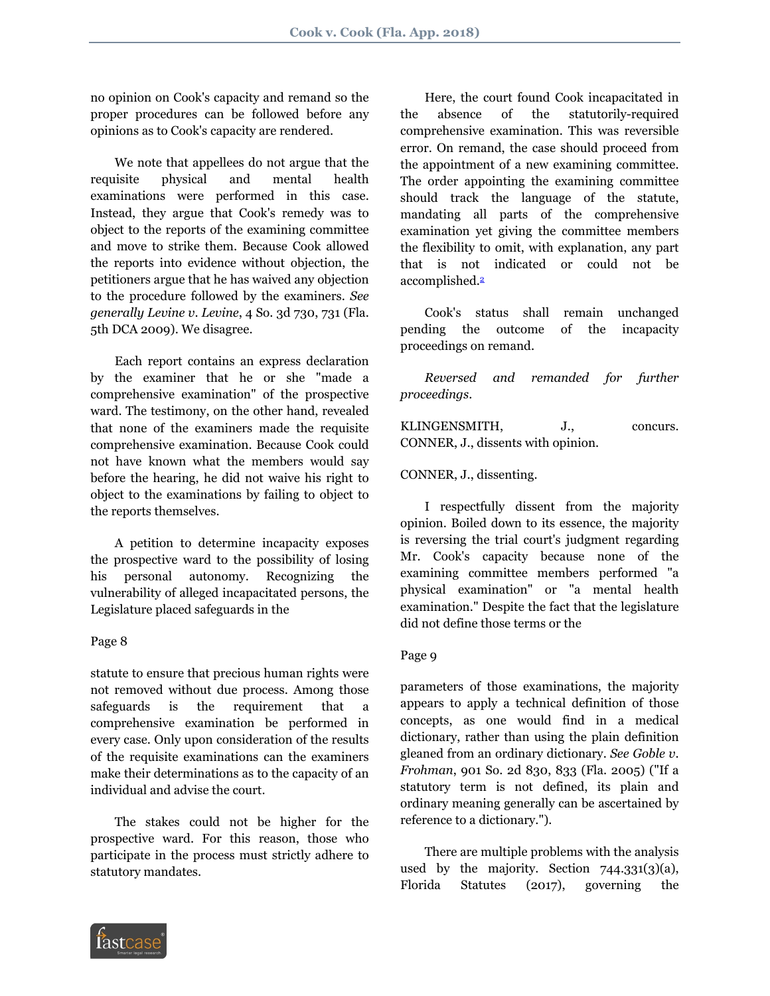no opinion on Cook's capacity and remand so the proper procedures can be followed before any opinions as to Cook's capacity are rendered.

 We note that appellees do not argue that the requisite physical and mental health examinations were performed in this case. Instead, they argue that Cook's remedy was to object to the reports of the examining committee and move to strike them. Because Cook allowed the reports into evidence without objection, the petitioners argue that he has waived any objection to the procedure followed by the examiners. *See generally Levine v*. *Levine*, 4 So. 3d 730, 731 (Fla. 5th DCA 2009). We disagree.

 Each report contains an express declaration by the examiner that he or she "made a comprehensive examination" of the prospective ward. The testimony, on the other hand, revealed that none of the examiners made the requisite comprehensive examination. Because Cook could not have known what the members would say before the hearing, he did not waive his right to object to the examinations by failing to object to the reports themselves.

 A petition to determine incapacity exposes the prospective ward to the possibility of losing his personal autonomy. Recognizing the vulnerability of alleged incapacitated persons, the Legislature placed safeguards in the

### Page 8

statute to ensure that precious human rights were not removed without due process. Among those safeguards is the requirement that a comprehensive examination be performed in every case. Only upon consideration of the results of the requisite examinations can the examiners make their determinations as to the capacity of an individual and advise the court.

 The stakes could not be higher for the prospective ward. For this reason, those who participate in the process must strictly adhere to statutory mandates.

 Here, the court found Cook incapacitated in the absence of the statutorily-required comprehensive examination. This was reversible error. On remand, the case should proceed from the appointment of a new examining committee. The order appointing the examining committee should track the language of the statute, mandating all parts of the comprehensive examination yet giving the committee members the flexibility to omit, with explanation, any part that is not indicated or could not be accomplished.[2](#page-8-0)

<span id="page-4-0"></span> Cook's status shall remain unchanged pending the outcome of the incapacity proceedings on remand.

 *Reversed and remanded for further proceedings*.

KLINGENSMITH, J., concurs. CONNER, J., dissents with opinion.

### CONNER, J., dissenting.

 I respectfully dissent from the majority opinion. Boiled down to its essence, the majority is reversing the trial court's judgment regarding Mr. Cook's capacity because none of the examining committee members performed "a physical examination" or "a mental health examination." Despite the fact that the legislature did not define those terms or the

### Page 9

parameters of those examinations, the majority appears to apply a technical definition of those concepts, as one would find in a medical dictionary, rather than using the plain definition gleaned from an ordinary dictionary. *See Goble v*. *Frohman*, 901 So. 2d 830, 833 (Fla. 2005) ("If a statutory term is not defined, its plain and ordinary meaning generally can be ascertained by reference to a dictionary.").

 There are multiple problems with the analysis used by the majority. Section  $744.331(3)(a)$ , Florida Statutes (2017), governing the

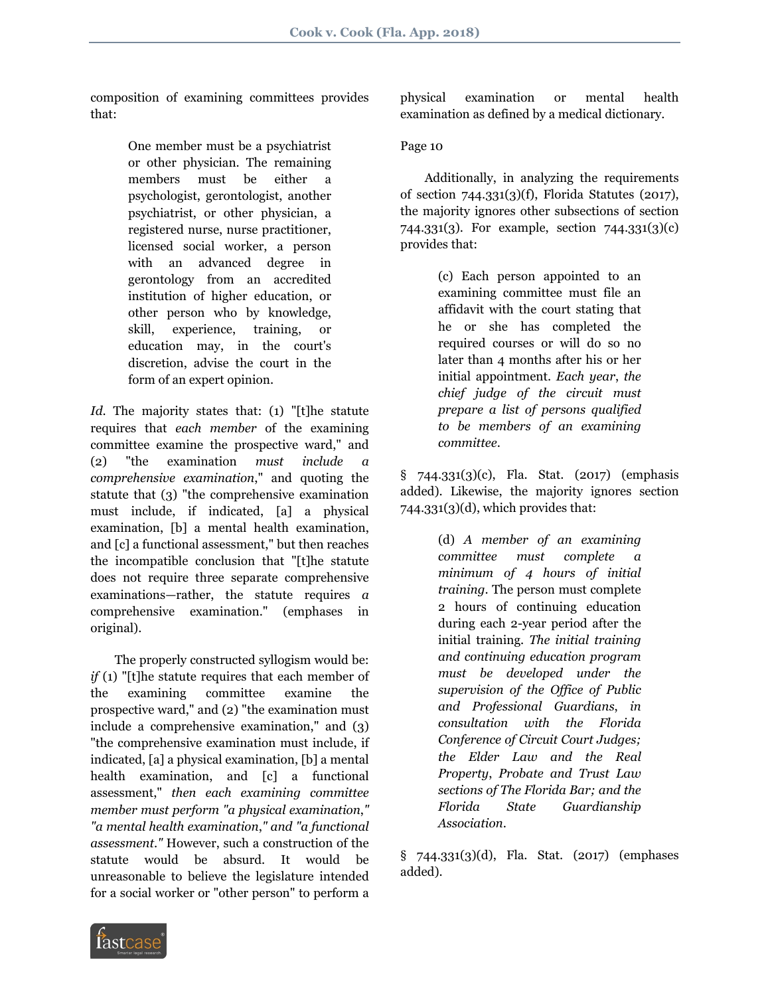composition of examining committees provides that:

> One member must be a psychiatrist or other physician. The remaining members must be either a psychologist, gerontologist, another psychiatrist, or other physician, a registered nurse, nurse practitioner, licensed social worker, a person with an advanced degree in gerontology from an accredited institution of higher education, or other person who by knowledge, skill, experience, training, or education may, in the court's discretion, advise the court in the form of an expert opinion.

*Id*. The majority states that: (1) "[t]he statute requires that *each member* of the examining committee examine the prospective ward," and (2) "the examination *must include a comprehensive examination*," and quoting the statute that (3) "the comprehensive examination must include, if indicated, [a] a physical examination, [b] a mental health examination, and [c] a functional assessment," but then reaches the incompatible conclusion that "[t]he statute does not require three separate comprehensive examinations—rather, the statute requires *a* comprehensive examination." (emphases in original).

 The properly constructed syllogism would be: *if* (1) "[t]he statute requires that each member of the examining committee examine the prospective ward," and (2) "the examination must include a comprehensive examination," and (3) "the comprehensive examination must include, if indicated, [a] a physical examination, [b] a mental health examination, and [c] a functional assessment," *then each examining committee member must perform "a physical examination*,*" "a mental health examination*,*" and "a functional assessment*.*"* However, such a construction of the statute would be absurd. It would be unreasonable to believe the legislature intended for a social worker or "other person" to perform a

physical examination or mental health examination as defined by a medical dictionary.

# Page 10

 Additionally, in analyzing the requirements of section 744.331(3)(f), Florida Statutes (2017), the majority ignores other subsections of section 744.331(3). For example, section 744.331(3)(c) provides that:

> (c) Each person appointed to an examining committee must file an affidavit with the court stating that he or she has completed the required courses or will do so no later than 4 months after his or her initial appointment. *Each year*, *the chief judge of the circuit must prepare a list of persons qualified to be members of an examining committee*.

§ 744.331(3)(c), Fla. Stat. (2017) (emphasis added). Likewise, the majority ignores section  $744.331(3)(d)$ , which provides that:

> (d) *A member of an examining committee must complete a minimum of 4 hours of initial training*. The person must complete 2 hours of continuing education during each 2-year period after the initial training. *The initial training and continuing education program must be developed under the supervision of the Office of Public and Professional Guardians*, *in consultation with the Florida Conference of Circuit Court Judges; the Elder Law and the Real Property*, *Probate and Trust Law sections of The Florida Bar; and the Florida State Guardianship Association*.

§ 744.331(3)(d), Fla. Stat. (2017) (emphases added).

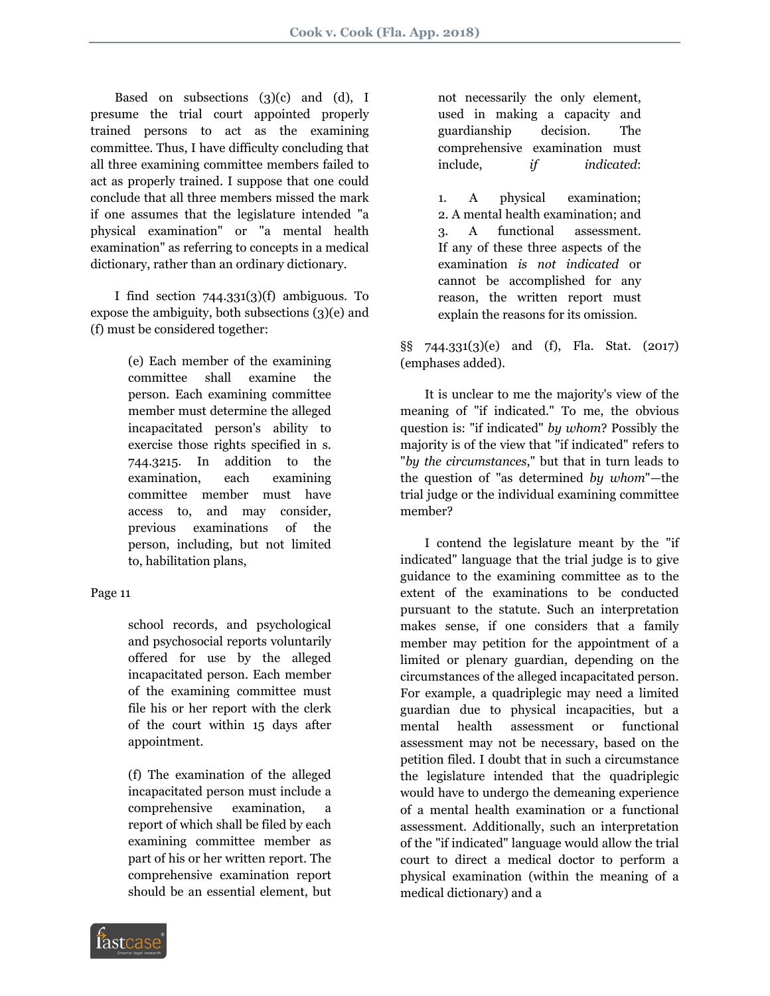Based on subsections  $(3)(c)$  and  $(d)$ , I presume the trial court appointed properly trained persons to act as the examining committee. Thus, I have difficulty concluding that all three examining committee members failed to act as properly trained. I suppose that one could conclude that all three members missed the mark if one assumes that the legislature intended "a physical examination" or "a mental health examination" as referring to concepts in a medical dictionary, rather than an ordinary dictionary.

 I find section 744.331(3)(f) ambiguous. To expose the ambiguity, both subsections (3)(e) and (f) must be considered together:

> (e) Each member of the examining committee shall examine the person. Each examining committee member must determine the alleged incapacitated person's ability to exercise those rights specified in s. 744.3215. In addition to the examination, each examining committee member must have access to, and may consider, previous examinations of the person, including, but not limited to, habilitation plans,

Page 11

school records, and psychological and psychosocial reports voluntarily offered for use by the alleged incapacitated person. Each member of the examining committee must file his or her report with the clerk of the court within 15 days after appointment.

(f) The examination of the alleged incapacitated person must include a comprehensive examination, a report of which shall be filed by each examining committee member as part of his or her written report. The comprehensive examination report should be an essential element, but not necessarily the only element, used in making a capacity and guardianship decision. The comprehensive examination must include, *if indicated*:

1. A physical examination; 2. A mental health examination; and 3. A functional assessment. If any of these three aspects of the examination *is not indicated* or cannot be accomplished for any reason, the written report must explain the reasons for its omission.

§§ 744.331(3)(e) and (f), Fla. Stat. (2017) (emphases added).

 It is unclear to me the majority's view of the meaning of "if indicated." To me, the obvious question is: "if indicated" *by whom*? Possibly the majority is of the view that "if indicated" refers to "*by the circumstances*," but that in turn leads to the question of "as determined *by whom*"—the trial judge or the individual examining committee member?

 I contend the legislature meant by the "if indicated" language that the trial judge is to give guidance to the examining committee as to the extent of the examinations to be conducted pursuant to the statute. Such an interpretation makes sense, if one considers that a family member may petition for the appointment of a limited or plenary guardian, depending on the circumstances of the alleged incapacitated person. For example, a quadriplegic may need a limited guardian due to physical incapacities, but a mental health assessment or functional assessment may not be necessary, based on the petition filed. I doubt that in such a circumstance the legislature intended that the quadriplegic would have to undergo the demeaning experience of a mental health examination or a functional assessment. Additionally, such an interpretation of the "if indicated" language would allow the trial court to direct a medical doctor to perform a physical examination (within the meaning of a medical dictionary) and a

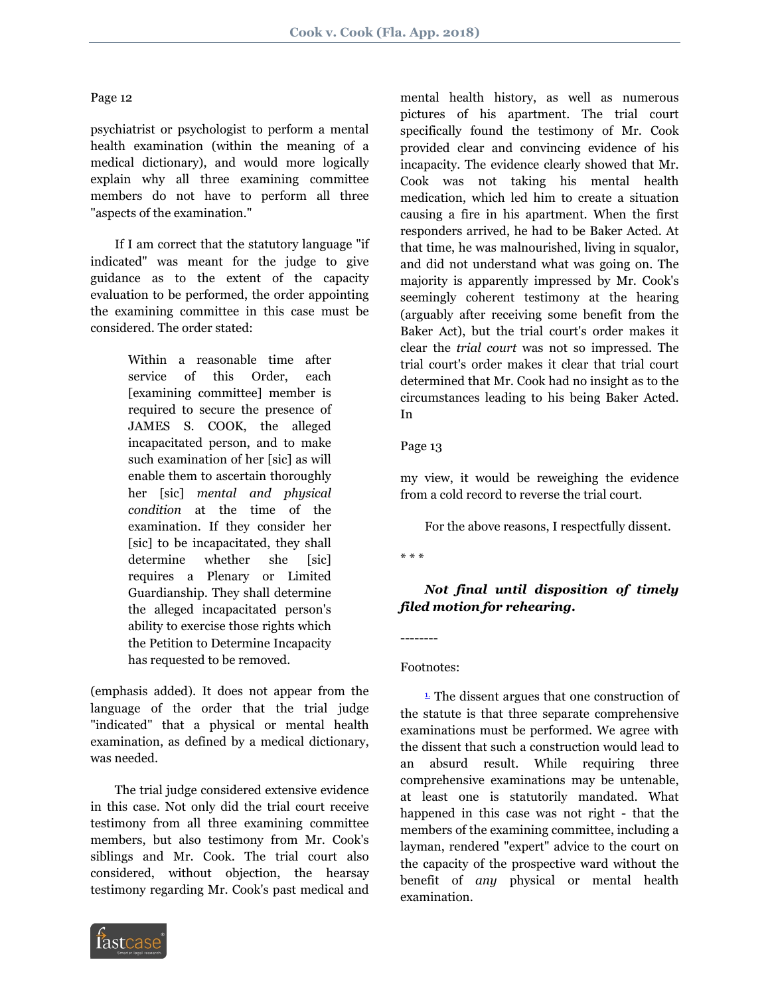### Page 12

psychiatrist or psychologist to perform a mental health examination (within the meaning of a medical dictionary), and would more logically explain why all three examining committee members do not have to perform all three "aspects of the examination."

 If I am correct that the statutory language "if indicated" was meant for the judge to give guidance as to the extent of the capacity evaluation to be performed, the order appointing the examining committee in this case must be considered. The order stated:

> Within a reasonable time after service of this Order, each [examining committee] member is required to secure the presence of JAMES S. COOK, the alleged incapacitated person, and to make such examination of her [sic] as will enable them to ascertain thoroughly her [sic] *mental and physical condition* at the time of the examination. If they consider her [sic] to be incapacitated, they shall determine whether she [sic] requires a Plenary or Limited Guardianship. They shall determine the alleged incapacitated person's ability to exercise those rights which the Petition to Determine Incapacity has requested to be removed.

(emphasis added). It does not appear from the language of the order that the trial judge "indicated" that a physical or mental health examination, as defined by a medical dictionary, was needed.

 The trial judge considered extensive evidence in this case. Not only did the trial court receive testimony from all three examining committee members, but also testimony from Mr. Cook's siblings and Mr. Cook. The trial court also considered, without objection, the hearsay testimony regarding Mr. Cook's past medical and



mental health history, as well as numerous pictures of his apartment. The trial court specifically found the testimony of Mr. Cook provided clear and convincing evidence of his incapacity. The evidence clearly showed that Mr. Cook was not taking his mental health medication, which led him to create a situation causing a fire in his apartment. When the first responders arrived, he had to be Baker Acted. At that time, he was malnourished, living in squalor, and did not understand what was going on. The majority is apparently impressed by Mr. Cook's seemingly coherent testimony at the hearing (arguably after receiving some benefit from the Baker Act), but the trial court's order makes it clear the *trial court* was not so impressed. The trial court's order makes it clear that trial court determined that Mr. Cook had no insight as to the circumstances leading to his being Baker Acted. In

# Page 13

my view, it would be reweighing the evidence from a cold record to reverse the trial court.

For the above reasons, I respectfully dissent.

\* \* \*

 *Not final until disposition of timely filed motion for rehearing***.**

### Footnotes:

--------

<span id="page-7-0"></span> $\frac{1}{2}$ . The dissent argues that one construction of the statute is that three separate comprehensive examinations must be performed. We agree with the dissent that such a construction would lead to an absurd result. While requiring three comprehensive examinations may be untenable, at least one is statutorily mandated. What happened in this case was not right - that the members of the examining committee, including a layman, rendered "expert" advice to the court on the capacity of the prospective ward without the benefit of *any* physical or mental health examination.